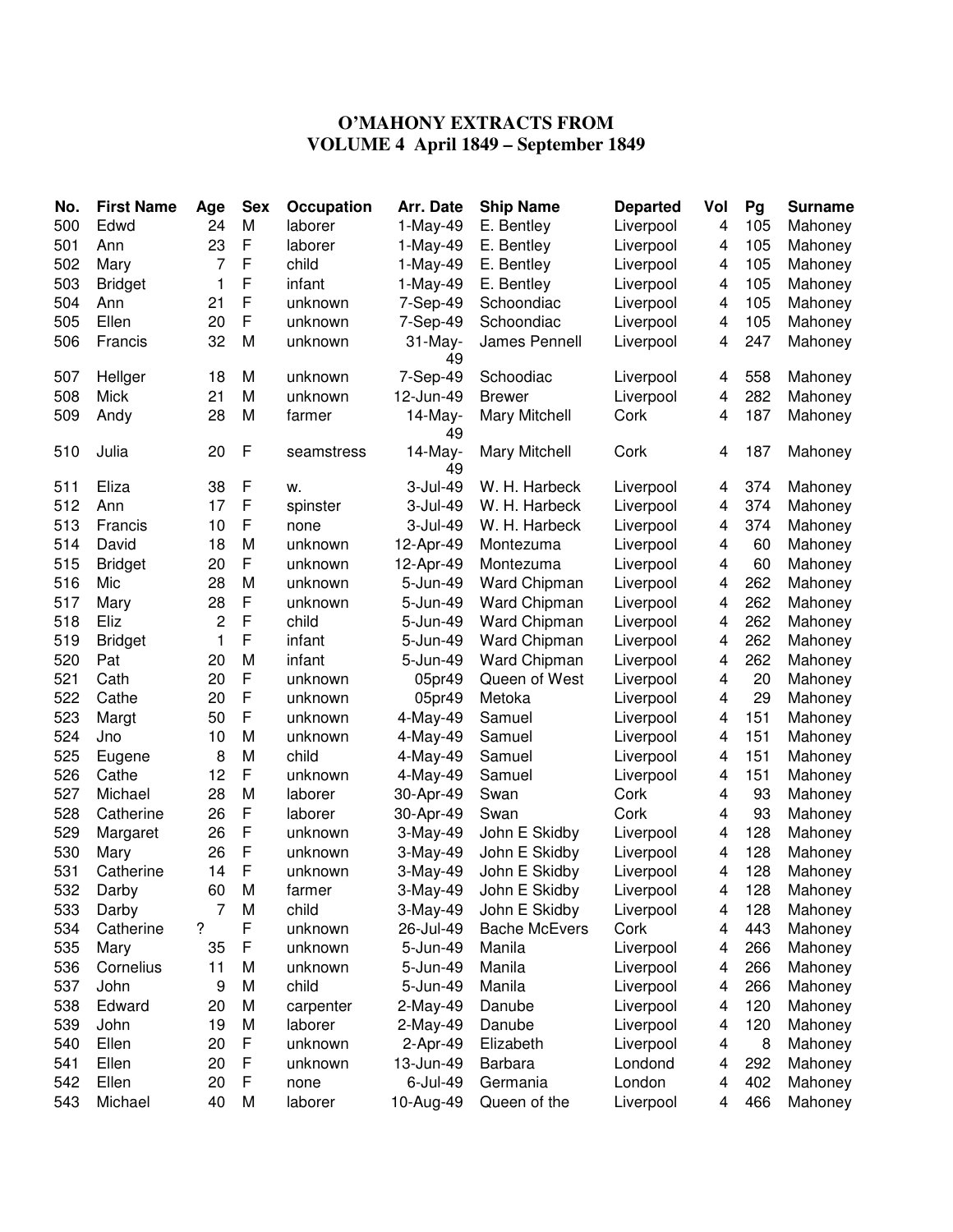## **O'MAHONY EXTRACTS FROM VOLUME 4 April 1849 – September 1849**

| No. | <b>First Name</b> | Age | <b>Sex</b>  | Occupation | Arr. Date        | <b>Ship Name</b>     | <b>Departed</b> | Vol                     | Pg  | <b>Surname</b> |
|-----|-------------------|-----|-------------|------------|------------------|----------------------|-----------------|-------------------------|-----|----------------|
| 500 | Edwd              | 24  | M           | laborer    | 1-May-49         | E. Bentley           | Liverpool       | $\overline{4}$          | 105 | Mahoney        |
| 501 | Ann               | 23  | F           | laborer    | 1-May-49         | E. Bentley           | Liverpool       | 4                       | 105 | Mahoney        |
| 502 | Mary              | 7   | F           | child      | $1-May-49$       | E. Bentley           | Liverpool       | 4                       | 105 | Mahoney        |
| 503 | <b>Bridget</b>    | 1   | F           | infant     | 1-May-49         | E. Bentley           | Liverpool       | 4                       | 105 | Mahoney        |
| 504 | Ann               | 21  | F           | unknown    | 7-Sep-49         | Schoondiac           | Liverpool       | 4                       | 105 | Mahoney        |
| 505 | Ellen             | 20  | F           | unknown    | 7-Sep-49         | Schoondiac           | Liverpool       | 4                       | 105 | Mahoney        |
| 506 | Francis           | 32  | M           | unknown    | $31$ -May-<br>49 | James Pennell        | Liverpool       | 4                       | 247 | Mahoney        |
| 507 | Hellger           | 18  | M           | unknown    | 7-Sep-49         | Schoodiac            | Liverpool       | 4                       | 558 | Mahoney        |
| 508 | <b>Mick</b>       | 21  | M           | unknown    | 12-Jun-49        | <b>Brewer</b>        | Liverpool       | 4                       | 282 | Mahoney        |
| 509 | Andy              | 28  | M           | farmer     | $14$ -May-<br>49 | Mary Mitchell        | Cork            | 4                       | 187 | Mahoney        |
| 510 | Julia             | 20  | F           | seamstress | 14-May-<br>49    | Mary Mitchell        | Cork            | 4                       | 187 | Mahoney        |
| 511 | Eliza             | 38  | F           | w.         | 3-Jul-49         | W. H. Harbeck        | Liverpool       | 4                       | 374 | Mahoney        |
| 512 | Ann               | 17  | F           | spinster   | 3-Jul-49         | W. H. Harbeck        | Liverpool       | 4                       | 374 | Mahoney        |
| 513 | Francis           | 10  | F           | none       | 3-Jul-49         | W. H. Harbeck        | Liverpool       | 4                       | 374 | Mahoney        |
| 514 | David             | 18  | M           | unknown    | 12-Apr-49        | Montezuma            | Liverpool       | 4                       | 60  | Mahoney        |
| 515 | <b>Bridget</b>    | 20  | F           | unknown    | 12-Apr-49        | Montezuma            | Liverpool       | 4                       | 60  | Mahoney        |
| 516 | Mic               | 28  | M           | unknown    | 5-Jun-49         | Ward Chipman         | Liverpool       | 4                       | 262 | Mahoney        |
| 517 | Mary              | 28  | F           | unknown    | 5-Jun-49         | Ward Chipman         | Liverpool       | 4                       | 262 | Mahoney        |
| 518 | Eliz              | 2   | F           | child      | 5-Jun-49         | Ward Chipman         | Liverpool       | 4                       | 262 | Mahoney        |
| 519 | <b>Bridget</b>    | 1   | F           | infant     | 5-Jun-49         | Ward Chipman         | Liverpool       | 4                       | 262 | Mahoney        |
| 520 | Pat               | 20  | M           | infant     | 5-Jun-49         | Ward Chipman         | Liverpool       | 4                       | 262 | Mahoney        |
| 521 | Cath              | 20  | F           | unknown    | 05pr49           | Queen of West        | Liverpool       | 4                       | 20  | Mahoney        |
| 522 | Cathe             | 20  | F           | unknown    | 05pr49           | Metoka               | Liverpool       | 4                       | 29  | Mahoney        |
| 523 | Margt             | 50  | $\mathsf F$ | unknown    | 4-May-49         | Samuel               | Liverpool       | $\overline{\mathbf{4}}$ | 151 | Mahoney        |
| 524 | Jno               | 10  | M           | unknown    | 4-May-49         | Samuel               | Liverpool       | 4                       | 151 | Mahoney        |
| 525 | Eugene            | 8   | M           | child      | 4-May-49         | Samuel               | Liverpool       | 4                       | 151 | Mahoney        |
| 526 | Cathe             | 12  | F           | unknown    | 4-May-49         | Samuel               | Liverpool       | 4                       | 151 | Mahoney        |
| 527 | Michael           | 28  | M           | laborer    | 30-Apr-49        | Swan                 | Cork            | $\overline{\mathbf{4}}$ | 93  | Mahoney        |
| 528 | Catherine         | 26  | F           | laborer    | 30-Apr-49        | Swan                 | Cork            | 4                       | 93  | Mahoney        |
| 529 | Margaret          | 26  | F           | unknown    | 3-May-49         | John E Skidby        | Liverpool       | 4                       | 128 | Mahoney        |
| 530 | Mary              | 26  | F           | unknown    | 3-May-49         | John E Skidby        | Liverpool       | 4                       | 128 | Mahoney        |
| 531 | Catherine         | 14  | F           | unknown    | 3-May-49         | John E Skidby        | Liverpool       | 4                       | 128 | Mahoney        |
| 532 | Darby             | 60  | M           | farmer     | 3-May-49         | John E Skidby        | Liverpool       | 4                       | 128 | Mahoney        |
| 533 | Darby             | 7   | M           | child      | 3-May-49         | John E Skidby        | Liverpool       | 4                       | 128 | Mahoney        |
| 534 | Catherine         | ?   | F           | unknown    | 26-Jul-49        | <b>Bache McEvers</b> | Cork            | 4                       | 443 | Mahoney        |
| 535 | Mary              | 35  | F           | unknown    | 5-Jun-49         | Manila               | Liverpool       | 4                       | 266 | Mahoney        |
| 536 | Cornelius         | 11  | M           | unknown    | 5-Jun-49         | Manila               | Liverpool       | 4                       | 266 | Mahoney        |
| 537 | John              | 9   | M           | child      | 5-Jun-49         | Manila               | Liverpool       | 4                       | 266 | Mahoney        |
| 538 | Edward            | 20  | M           | carpenter  | 2-May-49         | Danube               | Liverpool       | 4                       | 120 | Mahoney        |
| 539 | John              | 19  | M           | laborer    | 2-May-49         | Danube               | Liverpool       | 4                       | 120 | Mahoney        |
| 540 | Ellen             | 20  | F           | unknown    | 2-Apr-49         | Elizabeth            | Liverpool       | 4                       | 8   | Mahoney        |
| 541 | Ellen             | 20  | F           | unknown    | 13-Jun-49        | Barbara              | Londond         | 4                       | 292 | Mahoney        |
| 542 | Ellen             | 20  | $\mathsf F$ | none       | 6-Jul-49         | Germania             | London          | 4                       | 402 | Mahoney        |
| 543 | Michael           | 40  | M           | laborer    | 10-Aug-49        | Queen of the         | Liverpool       | 4                       | 466 | Mahoney        |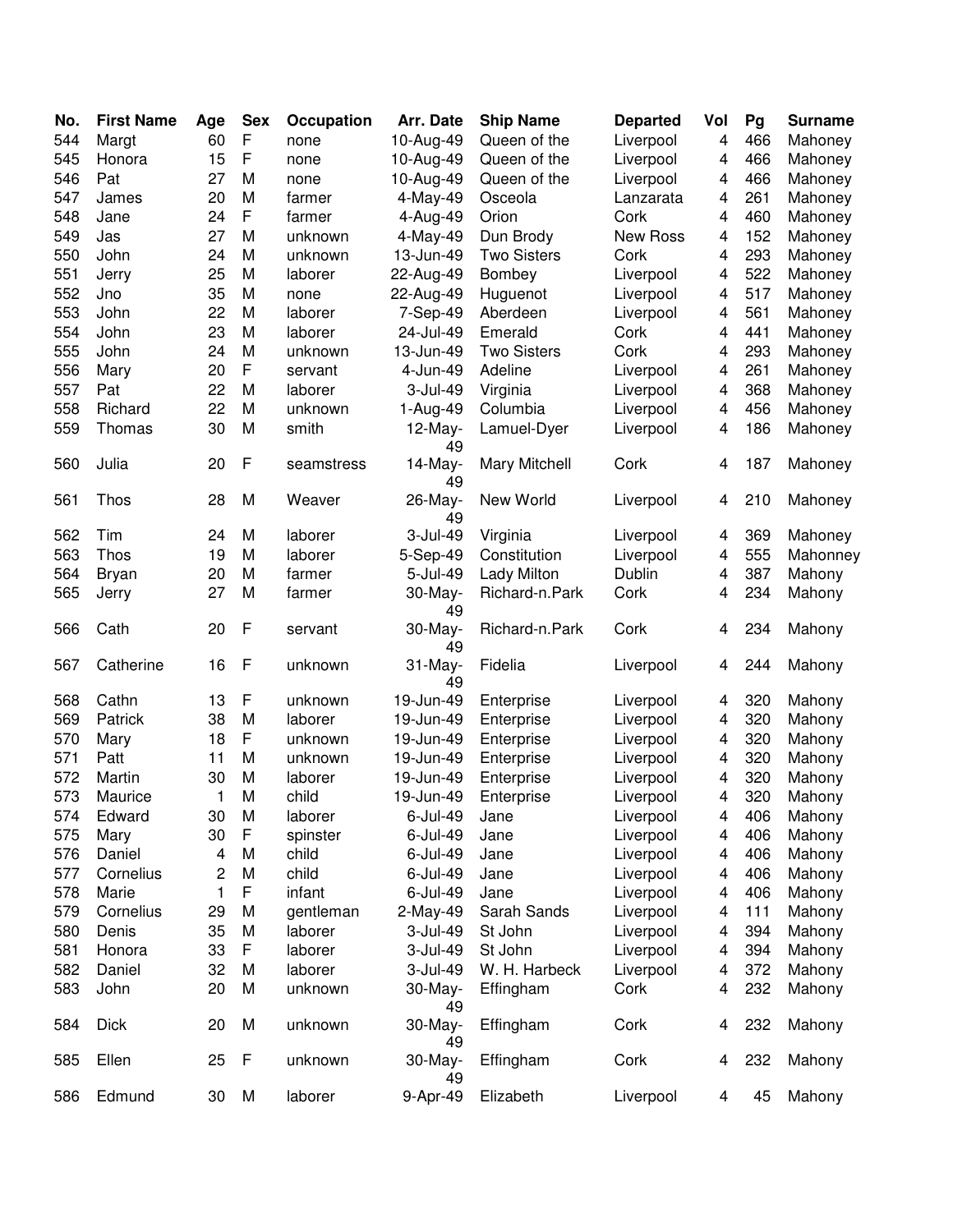| No. | <b>First Name</b> | Age | <b>Sex</b>   | Occupation | Arr. Date        | <b>Ship Name</b>     | <b>Departed</b> | Vol | Pg  | <b>Surname</b> |
|-----|-------------------|-----|--------------|------------|------------------|----------------------|-----------------|-----|-----|----------------|
| 544 | Margt             | 60  | $\mathsf F$  | none       | 10-Aug-49        | Queen of the         | Liverpool       | 4   | 466 | Mahoney        |
| 545 | Honora            | 15  | $\mathsf F$  | none       | 10-Aug-49        | Queen of the         | Liverpool       | 4   | 466 | Mahoney        |
| 546 | Pat               | 27  | M            | none       | 10-Aug-49        | Queen of the         | Liverpool       | 4   | 466 | Mahoney        |
| 547 | James             | 20  | M            | farmer     | 4-May-49         | Osceola              | Lanzarata       | 4   | 261 | Mahoney        |
| 548 | Jane              | 24  | $\mathsf F$  | farmer     | 4-Aug-49         | Orion                | Cork            | 4   | 460 | Mahoney        |
| 549 | Jas               | 27  | M            | unknown    | 4-May-49         | Dun Brody            | New Ross        | 4   | 152 | Mahoney        |
| 550 | John              | 24  | M            | unknown    | 13-Jun-49        | <b>Two Sisters</b>   | Cork            | 4   | 293 | Mahoney        |
| 551 | Jerry             | 25  | M            | laborer    | 22-Aug-49        | Bombey               | Liverpool       | 4   | 522 | Mahoney        |
| 552 | Jno               | 35  | M            | none       | 22-Aug-49        | Huguenot             | Liverpool       | 4   | 517 | Mahoney        |
| 553 | John              | 22  | M            | laborer    | 7-Sep-49         | Aberdeen             | Liverpool       | 4   | 561 | Mahoney        |
| 554 | John              | 23  | M            | laborer    | 24-Jul-49        | Emerald              | Cork            | 4   | 441 | Mahoney        |
| 555 | John              | 24  | M            | unknown    | 13-Jun-49        | <b>Two Sisters</b>   | Cork            | 4   | 293 | Mahoney        |
| 556 | Mary              | 20  | $\mathsf F$  | servant    | 4-Jun-49         | Adeline              | Liverpool       | 4   | 261 | Mahoney        |
| 557 | Pat               | 22  | M            | laborer    | 3-Jul-49         | Virginia             | Liverpool       | 4   | 368 | Mahoney        |
| 558 | Richard           | 22  | M            | unknown    | 1-Aug-49         | Columbia             | Liverpool       | 4   | 456 | Mahoney        |
| 559 | Thomas            | 30  | M            | smith      | $12$ -May-<br>49 | Lamuel-Dyer          | Liverpool       | 4   | 186 | Mahoney        |
| 560 | Julia             | 20  | F            | seamstress | 14-May-<br>49    | <b>Mary Mitchell</b> | Cork            | 4   | 187 | Mahoney        |
| 561 | Thos              | 28  | M            | Weaver     | 26-May-<br>49    | New World            | Liverpool       | 4   | 210 | Mahoney        |
| 562 | Tim               | 24  | M            | laborer    | 3-Jul-49         | Virginia             | Liverpool       | 4   | 369 | Mahoney        |
| 563 | Thos              | 19  | M            | laborer    | 5-Sep-49         | Constitution         | Liverpool       | 4   | 555 | Mahonney       |
| 564 | <b>Bryan</b>      | 20  | M            | farmer     | 5-Jul-49         | Lady Milton          | Dublin          | 4   | 387 | Mahony         |
| 565 | Jerry             | 27  | M            | farmer     | 30-May-          | Richard-n.Park       | Cork            | 4   | 234 | Mahony         |
|     |                   |     |              |            | 49               |                      |                 |     |     |                |
| 566 | Cath              | 20  | $\mathsf{F}$ | servant    | 30-May-<br>49    | Richard-n.Park       | Cork            | 4   | 234 | Mahony         |
| 567 | Catherine         | 16  | F            | unknown    | 31-May-<br>49    | Fidelia              | Liverpool       | 4   | 244 | Mahony         |
| 568 | Cathn             | 13  | F            | unknown    | 19-Jun-49        | Enterprise           | Liverpool       | 4   | 320 | Mahony         |
| 569 | Patrick           | 38  | M            | laborer    | 19-Jun-49        | Enterprise           | Liverpool       | 4   | 320 | Mahony         |
| 570 | Mary              | 18  | $\mathsf F$  | unknown    | 19-Jun-49        | Enterprise           | Liverpool       | 4   | 320 | Mahony         |
| 571 | Patt              | 11  | M            | unknown    | 19-Jun-49        | Enterprise           | Liverpool       | 4   | 320 | Mahony         |
| 572 | Martin            | 30  | M            | laborer    | 19-Jun-49        | Enterprise           | Liverpool       | 4   | 320 | Mahony         |
| 573 | Maurice           | 1   | M            | child      | 19-Jun-49        | Enterprise           | Liverpool       | 4   | 320 | Mahony         |
| 574 | Edward            | 30  | M            | laborer    | 6-Jul-49         | Jane                 | Liverpool       | 4   | 406 | Mahony         |
| 575 | Mary              | 30  | F            | spinster   | 6-Jul-49         | Jane                 | Liverpool       | 4   | 406 | Mahony         |
| 576 | Daniel            | 4   | M            | child      | $6$ -Jul-49      | Jane                 | Liverpool       | 4   | 406 | Mahony         |
| 577 | Cornelius         | 2   | M            | child      | 6-Jul-49         | Jane                 | Liverpool       | 4   | 406 | Mahony         |
| 578 | Marie             | 1   | F            | infant     | $6$ -Jul-49      | Jane                 | Liverpool       | 4   | 406 | Mahony         |
| 579 | Cornelius         | 29  | M            | gentleman  | 2-May-49         | Sarah Sands          | Liverpool       | 4   | 111 | Mahony         |
| 580 | Denis             | 35  | M            | laborer    | 3-Jul-49         | St John              | Liverpool       | 4   | 394 | Mahony         |
| 581 | Honora            | 33  | $\mathsf F$  | laborer    | 3-Jul-49         | St John              | Liverpool       | 4   | 394 | Mahony         |
| 582 | Daniel            | 32  | M            | laborer    | 3-Jul-49         | W. H. Harbeck        | Liverpool       | 4   | 372 | Mahony         |
| 583 | John              | 20  | M            | unknown    | 30-May-<br>49    | Effingham            | Cork            | 4   | 232 | Mahony         |
| 584 | <b>Dick</b>       | 20  | M            | unknown    | 30-May-<br>49    | Effingham            | Cork            | 4   | 232 | Mahony         |
| 585 | Ellen             | 25  | F            | unknown    | 30-May-<br>49    | Effingham            | Cork            | 4   | 232 | Mahony         |
| 586 | Edmund            | 30  | M            | laborer    | 9-Apr-49         | Elizabeth            | Liverpool       | 4   | 45  | Mahony         |